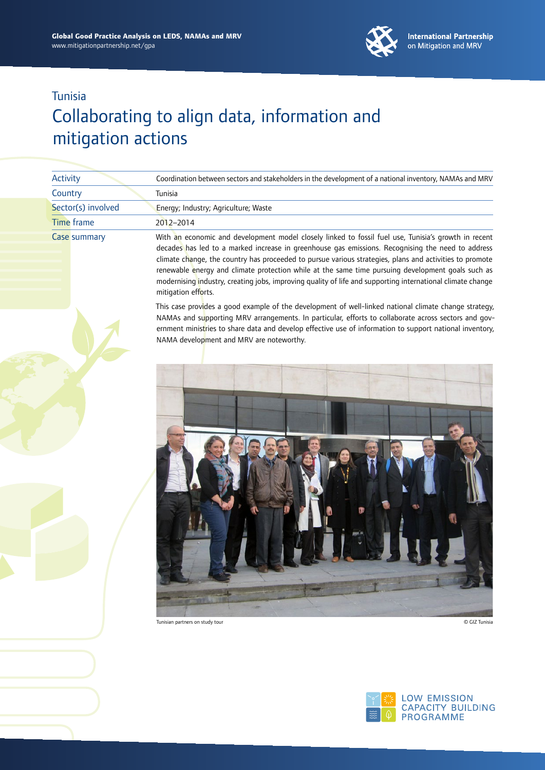

## Collaborating to align data, information and mitigation actions

| Activity           | Coordination between sectors and stakeholders in the development of a national inventory, NAMAs and MRV                                                                                                                                                                                                                                                                                                                                                                                                                                                        |
|--------------------|----------------------------------------------------------------------------------------------------------------------------------------------------------------------------------------------------------------------------------------------------------------------------------------------------------------------------------------------------------------------------------------------------------------------------------------------------------------------------------------------------------------------------------------------------------------|
| Country            | Tunisia                                                                                                                                                                                                                                                                                                                                                                                                                                                                                                                                                        |
| Sector(s) involved | Energy; Industry; Agriculture; Waste                                                                                                                                                                                                                                                                                                                                                                                                                                                                                                                           |
| <b>Time frame</b>  | 2012-2014                                                                                                                                                                                                                                                                                                                                                                                                                                                                                                                                                      |
| Case summary       | With an economic and development model closely linked to fossil fuel use, Tunisia's growth in recent<br>decades has led to a marked increase in greenhouse gas emissions. Recognising the need to address<br>climate change, the country has proceeded to pursue various strategies, plans and activities to promote<br>renewable energy and climate protection while at the same time pursuing development goals such as<br>modernising industry, creating jobs, improving quality of life and supporting international climate change<br>mitigation efforts. |
|                    | This case provides a good example of the development of well-linked national climate change strategy,<br>NAMAs and supporting MRV arrangements. In particular, efforts to collaborate across sectors and gov-<br>ernment ministries to share data and develop effective use of information to support national inventory,<br>NAMA development and MRV are noteworthy.                                                                                                                                                                                          |
|                    |                                                                                                                                                                                                                                                                                                                                                                                                                                                                                                                                                                |

Tunisian partners on study tour © GIZ Tunisia

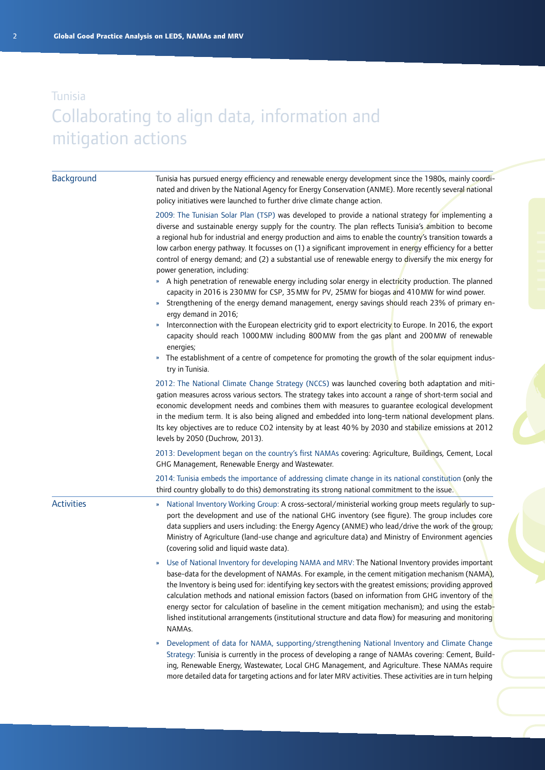### Tunisia Collaborating to align data, information and mitigation actions

#### Tunisia has pursued energy efficiency and renewable energy development since the 1980s, mainly coordinated and driven by the National Agency for Energy Conservation (ANME). More recently several national policy initiatives were launched to further drive climate change action. 2009: The Tunisian Solar Plan (TSP) was developed to provide a national strategy for implementing a diverse and sustainable energy supply for the country. The plan reflects Tunisia's ambition to become a regional hub for industrial and energy production and aims to enable the country's transition towards a low carbon energy pathway. It focusses on (1) a significant improvement in energy efficiency for a better control of energy demand; and (2) a substantial use of renewable energy to diversify the mix energy for power generation, including: » A high penetration of renewable energy including solar energy in electricity production. The planned capacity in 2016 is 230MW for CSP, 35MW for PV, 25MW for biogas and 410MW for wind power. » Strengthening of the energy demand management, energy savings should reach 23% of primary energy demand in 2016; » Interconnection with the European electricity grid to export electricity to Europe. In 2016, the export capacity should reach 1000MW including 800MW from the gas plant and 200MW of renewable energies; The establishment of a centre of competence for promoting the growth of the solar equipment industry in Tunisia. 2012: The National Climate Change Strategy (NCCS) was launched covering both adaptation and mitigation measures across various sectors. The strategy takes into account a range of short-term social and economic development needs and combines them with measures to guarantee ecological development in the medium term. It is also being aligned and embedded into long-term national development plans. Its key objectives are to reduce CO2 intensity by at least 40% by 2030 and stabilize emissions at 2012 levels by 2050 (Duchrow, 2013). 2013: Development began on the country's first NAMAs covering: Agriculture, Buildings, Cement, Local GHG Management, Renewable Energy and Wastewater. 2014: Tunisia embeds the importance of addressing climate change in its national constitution (only the third country globally to do this) demonstrating its strong national commitment to the issue. » National Inventory Working Group: A cross-sectoral/ministerial working group meets regularly to support the development and use of the national GHG inventory (see figure). The group includes core data suppliers and users including: the Energy Agency (ANME) who lead/drive the work of the group; Ministry of Agriculture (land-use change and agriculture data) and Ministry of Environment agencies (covering solid and liquid waste data). Use of National Inventory for developing NAMA and MRV: The National Inventory provides important base-data for the development of NAMAs. For example, in the cement mitigation mechanism (NAMA), the Inventory is being used for: identifying key sectors with the greatest emissions; providing approved calculation methods and national emission factors (based on information from GHG inventory of the energy sector for calculation of baseline in the cement mitigation mechanism); and using the established institutional arrangements (institutional structure and data flow) for measuring and monitoring NAMAs. » Development of data for NAMA, supporting/strengthening National Inventory and Climate Change Strategy: Tunisia is currently in the process of developing a range of NAMAs covering: Cement, Building, Renewable Energy, Wastewater, Local GHG Management, and Agriculture. These NAMAs require more detailed data for targeting actions and for later MRV activities. These activities are in turn helping **Background** Activities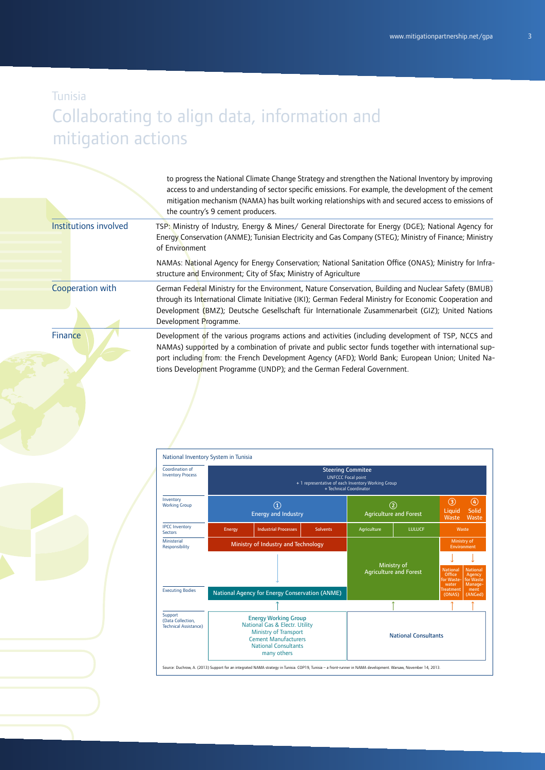## Collaborating to align data, information and mitigation actions

|                       | to progress the National Climate Change Strategy and strengthen the National Inventory by improving<br>access to and understanding of sector specific emissions. For example, the development of the cement<br>mitigation mechanism (NAMA) has built working relationships with and secured access to emissions of<br>the country's 9 cement producers.                                   |
|-----------------------|-------------------------------------------------------------------------------------------------------------------------------------------------------------------------------------------------------------------------------------------------------------------------------------------------------------------------------------------------------------------------------------------|
| Institutions involved | TSP: Ministry of Industry, Energy & Mines/ General Directorate for Energy (DGE); National Agency for<br>Energy Conservation (ANME); Tunisian Electricity and Gas Company (STEG); Ministry of Finance; Ministry<br>of Environment                                                                                                                                                          |
|                       | NAMAs: National Agency for Energy Conservation; National Sanitation Office (ONAS); Ministry for Infra-<br>structure and Environment; City of Sfax; Ministry of Agriculture                                                                                                                                                                                                                |
| Cooperation with      | German Federal Ministry for the Environment, Nature Conservation, Building and Nuclear Safety (BMUB)<br>through its International Climate Initiative (IKI); German Federal Ministry for Economic Cooperation and<br>Development (BMZ); Deutsche Gesellschaft für Internationale Zusammenarbeit (GIZ); United Nations<br>Development Programme.                                            |
| <b>Finance</b>        | Development of the various programs actions and activities (including development of TSP, NCCS and<br>NAMAs) supported by a combination of private and public sector funds together with international sup-<br>port including from: the French Development Agency (AFD); World Bank; European Union; United Na-<br>tions Development Programme (UNDP); and the German Federal Government. |

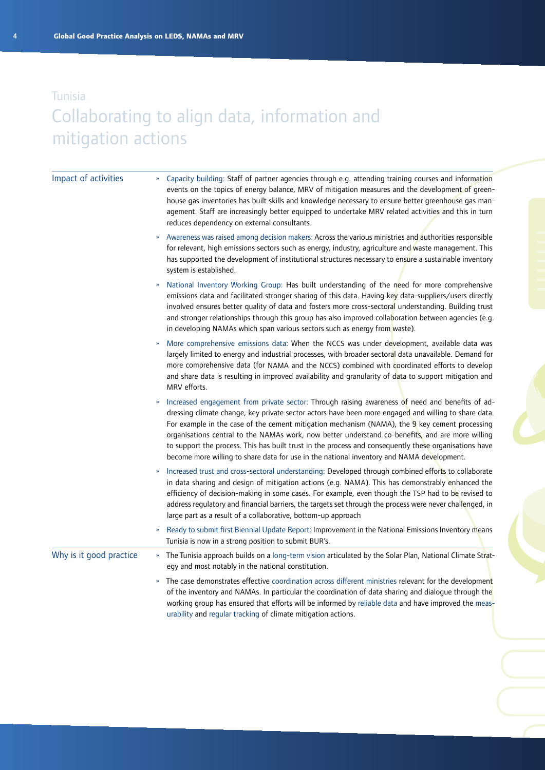## Tunisia Collaborating to align data, information and mitigation actions

| Impact of activities    | Capacity building: Staff of partner agencies through e.g. attending training courses and information<br>»<br>events on the topics of energy balance, MRV of mitigation measures and the development of green-<br>house gas inventories has built skills and knowledge necessary to ensure better greenhouse gas man-<br>agement. Staff are increasingly better equipped to undertake MRV related activities and this in turn<br>reduces dependency on external consultants.                                                                                                                                                                       |
|-------------------------|---------------------------------------------------------------------------------------------------------------------------------------------------------------------------------------------------------------------------------------------------------------------------------------------------------------------------------------------------------------------------------------------------------------------------------------------------------------------------------------------------------------------------------------------------------------------------------------------------------------------------------------------------|
|                         | Awareness was raised among decision makers: Across the various ministries and authorities responsible<br>$\boldsymbol{\mathcal{Y}}$<br>for relevant, high emissions sectors such as energy, industry, agriculture and waste management. This<br>has supported the development of institutional structures necessary to ensure a sustainable inventory<br>system is established.                                                                                                                                                                                                                                                                   |
|                         | National Inventory Working Group: Has built understanding of the need for more comprehensive<br>emissions data and facilitated stronger sharing of this data. Having key data-suppliers/users directly<br>involved ensures better quality of data and fosters more cross-sectoral understanding. Building trust<br>and stronger relationships through this group has also improved collaboration between agencies (e.g.<br>in developing NAMAs which span various sectors such as energy from waste).                                                                                                                                             |
|                         | More comprehensive emissions data: When the NCCS was under development, available data was<br>»<br>largely limited to energy and industrial processes, with broader sectoral data unavailable. Demand for<br>more comprehensive data (for NAMA and the NCCS) combined with coordinated efforts to develop<br>and share data is resulting in improved availability and granularity of data to support mitigation and<br>MRV efforts.                                                                                                                                                                                                               |
|                         | Increased engagement from private sector: Through raising awareness of need and benefits of ad-<br>$\boldsymbol{\mathcal{Y}}$<br>dressing climate change, key private sector actors have been more engaged and willing to share data.<br>For example in the case of the cement mitigation mechanism (NAMA), the 9 key cement processing<br>organisations central to the NAMAs work, now better understand co-benefits, and are more willing<br>to support the process. This has built trust in the process and consequently these organisations have<br>become more willing to share data for use in the national inventory and NAMA development. |
|                         | Increased trust and cross-sectoral understanding: Developed through combined efforts to collaborate<br>$\boldsymbol{\nu}$<br>in data sharing and design of mitigation actions (e.g. NAMA). This has demonstrably enhanced the<br>efficiency of decision-making in some cases. For example, even though the TSP had to be revised to<br>address regulatory and financial barriers, the targets set through the process were never challenged, in<br>large part as a result of a collaborative, bottom-up approach                                                                                                                                  |
|                         | Ready to submit first Biennial Update Report: Improvement in the National Emissions Inventory means<br>Tunisia is now in a strong position to submit BUR's.                                                                                                                                                                                                                                                                                                                                                                                                                                                                                       |
| Why is it good practice | The Tunisia approach builds on a long-term vision articulated by the Solar Plan, National Climate Strat-<br>$\pmb{\mathcal{W}}$<br>egy and most notably in the national constitution.                                                                                                                                                                                                                                                                                                                                                                                                                                                             |
|                         | The case demonstrates effective coordination across different ministries relevant for the development<br>$\boldsymbol{\mathcal{V}}$<br>of the inventory and NAMAs. In particular the coordination of data sharing and dialogue through the<br>working group has ensured that efforts will be informed by reliable data and have improved the meas-<br>urability and regular tracking of climate mitigation actions.                                                                                                                                                                                                                               |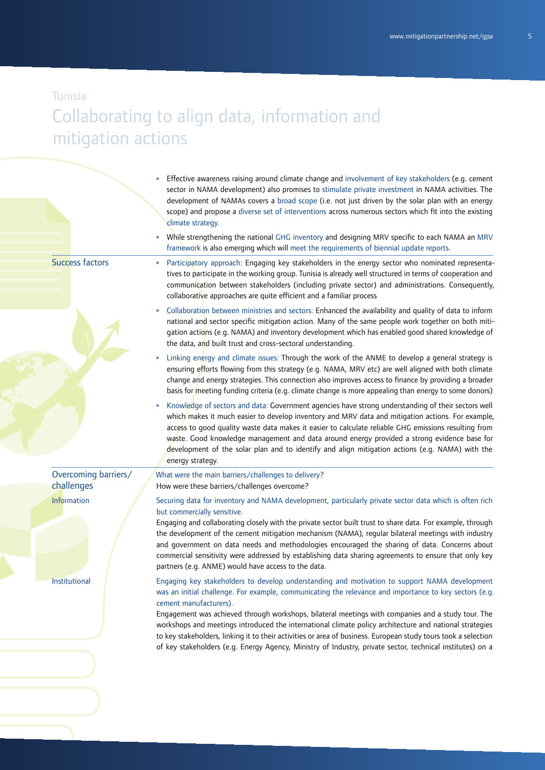## Collaborating to align data, information and mitigation actions

|                                    | Effective awareness raising around climate change and involvement of key stakeholders (e.g. cement<br>sector in NAMA development) also promises to stimulate private investment in NAMA activities. The<br>development of NAMAs covers a broad scope (i.e. not just driven by the solar plan with an energy<br>scope) and propose a diverse set of interventions across numerous sectors which fit into the existing<br>climate strategy.                                                                                                                                                                                                                                         |
|------------------------------------|-----------------------------------------------------------------------------------------------------------------------------------------------------------------------------------------------------------------------------------------------------------------------------------------------------------------------------------------------------------------------------------------------------------------------------------------------------------------------------------------------------------------------------------------------------------------------------------------------------------------------------------------------------------------------------------|
|                                    | While strengthening the national GHG inventory and designing MRV specific to each NAMA an MRV<br>framework is also emerging which will meet the requirements of biennial update reports.                                                                                                                                                                                                                                                                                                                                                                                                                                                                                          |
| <b>Success factors</b>             | Participatory approach: Engaging key stakeholders in the energy sector who nominated representa-<br>$\boldsymbol{\mathcal{V}}$<br>tives to participate in the working group. Tunisia is already well structured in terms of cooperation and<br>communication between stakeholders (including private sector) and administrations. Consequently,<br>collaborative approaches are quite efficient and a familiar process                                                                                                                                                                                                                                                            |
|                                    | Collaboration between ministries and sectors: Enhanced the availability and quality of data to inform<br>$\boldsymbol{\mathcal{V}}$<br>national and sector specific mitigation action. Many of the same people work together on both miti-<br>gation actions (e.g. NAMA) and inventory development which has enabled good shared knowledge of<br>the data, and built trust and cross-sectoral understanding.                                                                                                                                                                                                                                                                      |
|                                    | Linking energy and climate issues: Through the work of the ANME to develop a general strategy is<br>$\boldsymbol{\mathcal{Y}}$<br>ensuring efforts flowing from this strategy (e.g. NAMA, MRV etc) are well aligned with both climate<br>change and energy strategies. This connection also improves access to finance by providing a broader<br>basis for meeting funding criteria (e.g. climate change is more appealing than energy to some donors)                                                                                                                                                                                                                            |
|                                    | Knowledge of sectors and data: Government agencies have strong understanding of their sectors well<br>$\boldsymbol{\mathcal{Y}}$<br>which makes it much easier to develop inventory and MRV data and mitigation actions. For example,<br>access to good quality waste data makes it easier to calculate reliable GHG emissions resulting from<br>waste. Good knowledge management and data around energy provided a strong evidence base for<br>development of the solar plan and to identify and align mitigation actions (e.g. NAMA) with the<br>energy strategy.                                                                                                               |
| Overcoming barriers/<br>challenges | What were the main barriers/challenges to delivery?<br>How were these barriers/challenges overcome?                                                                                                                                                                                                                                                                                                                                                                                                                                                                                                                                                                               |
| Information                        | Securing data for inventory and NAMA development, particularly private sector data which is often rich<br>but commercially sensitive.<br>Engaging and collaborating closely with the private sector built trust to share data. For example, through<br>the development of the cement mitigation mechanism (NAMA), regular bilateral meetings with industry<br>and government on data needs and methodologies encouraged the sharing of data. Concerns about<br>commercial sensitivity were addressed by establishing data sharing agreements to ensure that only key<br>partners (e.g. ANME) would have access to the data.                                                       |
| Institutional                      | Engaging key stakeholders to develop understanding and motivation to support NAMA development<br>was an initial challenge. For example, communicating the relevance and importance to key sectors (e.g.<br>cement manufacturers).<br>Engagement was achieved through workshops, bilateral meetings with companies and a study tour. The<br>workshops and meetings introduced the international climate policy architecture and national strategies<br>to key stakeholders, linking it to their activities or area of business. European study tours took a selection<br>of key stakeholders (e.g. Energy Agency, Ministry of Industry, private sector, technical institutes) on a |
|                                    |                                                                                                                                                                                                                                                                                                                                                                                                                                                                                                                                                                                                                                                                                   |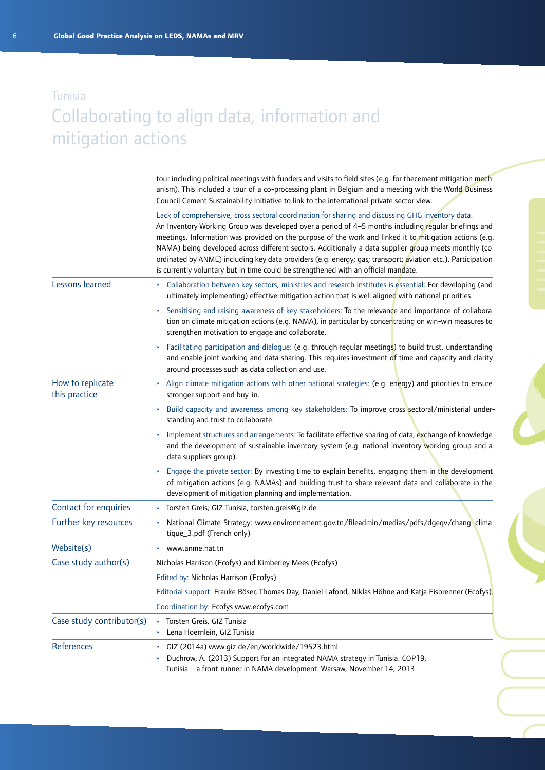### Tunisia Collaborating to align data, information and mitigation actions

tour including political meetings with funders and visits to field sites (e.g. for thecement mitigation mechanism). This included a tour of a co-processing plant in Belgium and a meeting with the World Business Council Cement Sustainability Initiative to link to the international private sector view.

|                                   | Lack of comprehensive, cross sectoral coordination for sharing and discussing GHG inventory data.<br>An Inventory Working Group was developed over a period of 4-5 months including regular briefings and<br>meetings. Information was provided on the purpose of the work and linked it to mitigation actions (e.g.<br>NAMA) being developed across different sectors. Additionally a data supplier group meets monthly (co-<br>ordinated by ANME) including key data providers (e.g. energy; gas; transport; aviation etc.). Participation<br>is currently voluntary but in time could be strengthened with an official mandate. |
|-----------------------------------|------------------------------------------------------------------------------------------------------------------------------------------------------------------------------------------------------------------------------------------------------------------------------------------------------------------------------------------------------------------------------------------------------------------------------------------------------------------------------------------------------------------------------------------------------------------------------------------------------------------------------------|
| Lessons learned                   | Collaboration between key sectors, ministries and research institutes is essential: For developing (and<br>»<br>ultimately implementing) effective mitigation action that is well aligned with national priorities.                                                                                                                                                                                                                                                                                                                                                                                                                |
|                                   | Sensitising and raising awareness of key stakeholders: To the relevance and importance of collabora-<br>»<br>tion on climate mitigation actions (e.g. NAMA), in particular by concentrating on win-win measures to<br>strengthen motivation to engage and collaborate.                                                                                                                                                                                                                                                                                                                                                             |
|                                   | Facilitating participation and dialogue: (e.g. through regular meetings) to build trust, understanding<br>W.<br>and enable joint working and data sharing. This requires investment of time and capacity and clarity<br>around processes such as data collection and use.                                                                                                                                                                                                                                                                                                                                                          |
| How to replicate<br>this practice | Align climate mitigation actions with other national strategies: (e.g. energy) and priorities to ensure<br>$\boldsymbol{\mathcal{V}}$<br>stronger support and buy-in.                                                                                                                                                                                                                                                                                                                                                                                                                                                              |
|                                   | Build capacity and awareness among key stakeholders: To improve cross sectoral/ministerial under-<br>»<br>standing and trust to collaborate.                                                                                                                                                                                                                                                                                                                                                                                                                                                                                       |
|                                   | Implement structures and arrangements: To facilitate effective sharing of data, exchange of knowledge<br>»<br>and the development of sustainable inventory system (e.g. national inventory working group and a<br>data suppliers group).                                                                                                                                                                                                                                                                                                                                                                                           |
|                                   | Engage the private sector: By investing time to explain benefits, engaging them in the development<br>of mitigation actions (e.g. NAMAs) and building trust to share relevant data and collaborate in the<br>development of mitigation planning and implementation.                                                                                                                                                                                                                                                                                                                                                                |
| Contact for enquiries             | Torsten Greis, GIZ Tunisia, torsten.greis@giz.de<br>»                                                                                                                                                                                                                                                                                                                                                                                                                                                                                                                                                                              |
| Further key resources             | National Climate Strategy: www.environnement.gov.tn/fileadmin/medias/pdfs/dgeqv/chang_clima-<br>W.<br>tique_3.pdf (French only)                                                                                                                                                                                                                                                                                                                                                                                                                                                                                                    |
| Website(s)                        | www.anme.nat.tn<br>»                                                                                                                                                                                                                                                                                                                                                                                                                                                                                                                                                                                                               |
| Case study author(s)              | Nicholas Harrison (Ecofys) and Kimberley Mees (Ecofys)                                                                                                                                                                                                                                                                                                                                                                                                                                                                                                                                                                             |
|                                   | Edited by: Nicholas Harrison (Ecofys)                                                                                                                                                                                                                                                                                                                                                                                                                                                                                                                                                                                              |
|                                   | Editorial support: Frauke Röser, Thomas Day, Daniel Lafond, Niklas Höhne and Katja Eisbrenner (Ecofys).                                                                                                                                                                                                                                                                                                                                                                                                                                                                                                                            |
|                                   | Coordination by: Ecofys www.ecofys.com                                                                                                                                                                                                                                                                                                                                                                                                                                                                                                                                                                                             |
| Case study contributor(s)         | Torsten Greis, GIZ Tunisia<br>»<br>Lena Hoernlein, GIZ Tunisia<br>»                                                                                                                                                                                                                                                                                                                                                                                                                                                                                                                                                                |
| References                        | GIZ (2014a) www.giz.de/en/worldwide/19523.html<br>$\boldsymbol{\mathcal{V}}$<br>Duchrow, A. (2013) Support for an integrated NAMA strategy in Tunisia. COP19,<br>Tunisia – a front-runner in NAMA development. Warsaw, November 14, 2013                                                                                                                                                                                                                                                                                                                                                                                           |

6